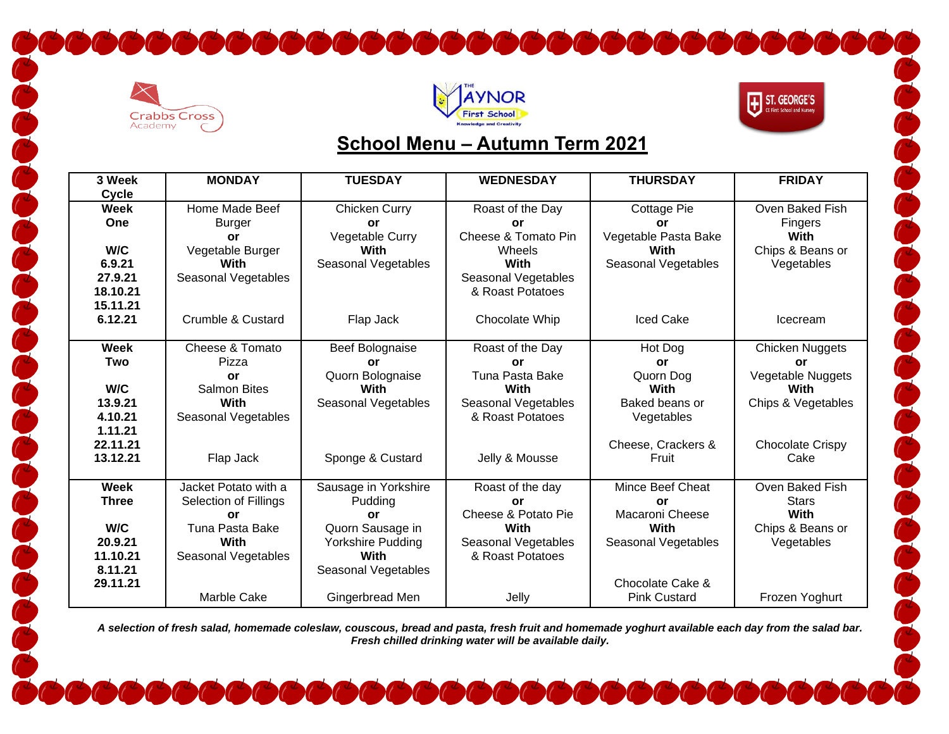





CCCCCCCCC

## **School Menu – Autumn Term 2021**

| 3 Week       | <b>MONDAY</b>             | <b>TUESDAY</b>           | <b>WEDNESDAY</b>        | <b>THURSDAY</b>          | <b>FRIDAY</b>             |
|--------------|---------------------------|--------------------------|-------------------------|--------------------------|---------------------------|
| Cycle        |                           |                          |                         |                          |                           |
| <b>Week</b>  | Home Made Beef            | Chicken Curry            | Roast of the Day        | Cottage Pie              | Oven Baked Fish           |
| One          | <b>Burger</b>             | <b>or</b>                | or                      | <b>or</b>                | Fingers                   |
|              | or                        | Vegetable Curry          | Cheese & Tomato Pin     | Vegetable Pasta Bake     | With                      |
| W/C          | Vegetable Burger          | With                     | Wheels                  | With                     | Chips & Beans or          |
| 6.9.21       | With                      | Seasonal Vegetables      | <b>With</b>             | Seasonal Vegetables      | Vegetables                |
| 27.9.21      | Seasonal Vegetables       |                          | Seasonal Vegetables     |                          |                           |
| 18.10.21     |                           |                          | & Roast Potatoes        |                          |                           |
| 15.11.21     |                           |                          |                         |                          |                           |
| 6.12.21      | Crumble & Custard         | Flap Jack                | Chocolate Whip          | <b>Iced Cake</b>         | Icecream                  |
|              |                           |                          |                         |                          |                           |
| <b>Week</b>  | Cheese & Tomato           | Beef Bolognaise          | Roast of the Day        | Hot Dog                  | Chicken Nuggets           |
| Two          | Pizza                     | <b>or</b>                | <b>or</b>               | <b>or</b>                | <b>or</b>                 |
| W/C          | or<br><b>Salmon Bites</b> | Quorn Bolognaise<br>With | Tuna Pasta Bake<br>With | Quorn Dog<br><b>With</b> | Vegetable Nuggets<br>With |
| 13.9.21      | With                      | Seasonal Vegetables      | Seasonal Vegetables     | Baked beans or           | Chips & Vegetables        |
| 4.10.21      | Seasonal Vegetables       |                          | & Roast Potatoes        | Vegetables               |                           |
| 1.11.21      |                           |                          |                         |                          |                           |
| 22.11.21     |                           |                          |                         | Cheese, Crackers &       | <b>Chocolate Crispy</b>   |
| 13.12.21     | Flap Jack                 | Sponge & Custard         | Jelly & Mousse          | Fruit                    | Cake                      |
|              |                           |                          |                         |                          |                           |
| Week         | Jacket Potato with a      | Sausage in Yorkshire     | Roast of the day        | Mince Beef Cheat         | Oven Baked Fish           |
| <b>Three</b> | Selection of Fillings     | Pudding                  | or                      | or                       | <b>Stars</b>              |
|              | <b>or</b>                 | or                       | Cheese & Potato Pie     | Macaroni Cheese          | <b>With</b>               |
| W/C          | Tuna Pasta Bake           | Quorn Sausage in         | With                    | With                     | Chips & Beans or          |
| 20.9.21      | With                      | Yorkshire Pudding        | Seasonal Vegetables     | Seasonal Vegetables      | Vegetables                |
| 11.10.21     | Seasonal Vegetables       | With                     | & Roast Potatoes        |                          |                           |
| 8.11.21      |                           | Seasonal Vegetables      |                         |                          |                           |
| 29.11.21     |                           |                          |                         | Chocolate Cake &         |                           |
|              | Marble Cake               | Gingerbread Men          | Jelly                   | <b>Pink Custard</b>      | Frozen Yoghurt            |

*A selection of fresh salad, homemade coleslaw, couscous, bread and pasta, fresh fruit and homemade yoghurt available each day from the salad bar. Fresh chilled drinking water will be available daily.*